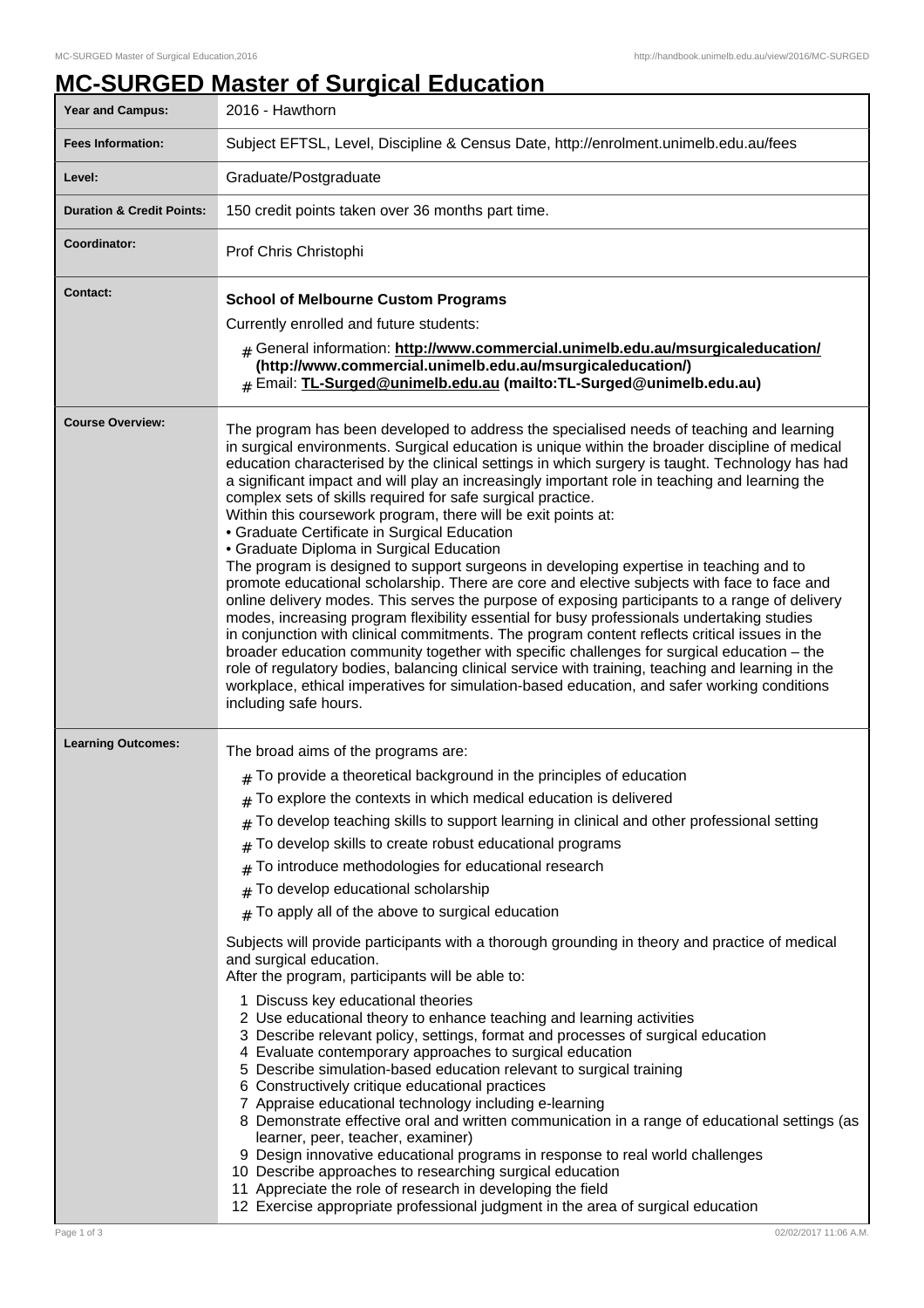## **MC-SURGED Master of Surgical Education**

| <b>Year and Campus:</b>                  | 2016 - Hawthorn                                                                                                                                                                                                                                                                                                                                                                                                                                                                                                                                                                                                                                                                                                                                                                                                                                                                                                                                                                                                                                                                                                                                                                                                                                                                                                                                                                                                                                                                                                                                                                               |
|------------------------------------------|-----------------------------------------------------------------------------------------------------------------------------------------------------------------------------------------------------------------------------------------------------------------------------------------------------------------------------------------------------------------------------------------------------------------------------------------------------------------------------------------------------------------------------------------------------------------------------------------------------------------------------------------------------------------------------------------------------------------------------------------------------------------------------------------------------------------------------------------------------------------------------------------------------------------------------------------------------------------------------------------------------------------------------------------------------------------------------------------------------------------------------------------------------------------------------------------------------------------------------------------------------------------------------------------------------------------------------------------------------------------------------------------------------------------------------------------------------------------------------------------------------------------------------------------------------------------------------------------------|
| <b>Fees Information:</b>                 | Subject EFTSL, Level, Discipline & Census Date, http://enrolment.unimelb.edu.au/fees                                                                                                                                                                                                                                                                                                                                                                                                                                                                                                                                                                                                                                                                                                                                                                                                                                                                                                                                                                                                                                                                                                                                                                                                                                                                                                                                                                                                                                                                                                          |
| Level:                                   | Graduate/Postgraduate                                                                                                                                                                                                                                                                                                                                                                                                                                                                                                                                                                                                                                                                                                                                                                                                                                                                                                                                                                                                                                                                                                                                                                                                                                                                                                                                                                                                                                                                                                                                                                         |
| <b>Duration &amp; Credit Points:</b>     | 150 credit points taken over 36 months part time.                                                                                                                                                                                                                                                                                                                                                                                                                                                                                                                                                                                                                                                                                                                                                                                                                                                                                                                                                                                                                                                                                                                                                                                                                                                                                                                                                                                                                                                                                                                                             |
| Coordinator:                             | Prof Chris Christophi                                                                                                                                                                                                                                                                                                                                                                                                                                                                                                                                                                                                                                                                                                                                                                                                                                                                                                                                                                                                                                                                                                                                                                                                                                                                                                                                                                                                                                                                                                                                                                         |
| <b>Contact:</b>                          | <b>School of Melbourne Custom Programs</b><br>Currently enrolled and future students:<br># General information: http://www.commercial.unimelb.edu.au/msurgicaleducation/<br>(http://www.commercial.unimelb.edu.au/msurgicaleducation/)<br># Email: TL-Surged@unimelb.edu.au (mailto:TL-Surged@unimelb.edu.au)                                                                                                                                                                                                                                                                                                                                                                                                                                                                                                                                                                                                                                                                                                                                                                                                                                                                                                                                                                                                                                                                                                                                                                                                                                                                                 |
| <b>Course Overview:</b>                  | The program has been developed to address the specialised needs of teaching and learning<br>in surgical environments. Surgical education is unique within the broader discipline of medical<br>education characterised by the clinical settings in which surgery is taught. Technology has had<br>a significant impact and will play an increasingly important role in teaching and learning the<br>complex sets of skills required for safe surgical practice.<br>Within this coursework program, there will be exit points at:<br>• Graduate Certificate in Surgical Education<br>• Graduate Diploma in Surgical Education<br>The program is designed to support surgeons in developing expertise in teaching and to<br>promote educational scholarship. There are core and elective subjects with face to face and<br>online delivery modes. This serves the purpose of exposing participants to a range of delivery<br>modes, increasing program flexibility essential for busy professionals undertaking studies<br>in conjunction with clinical commitments. The program content reflects critical issues in the<br>broader education community together with specific challenges for surgical education - the<br>role of regulatory bodies, balancing clinical service with training, teaching and learning in the<br>workplace, ethical imperatives for simulation-based education, and safer working conditions<br>including safe hours.                                                                                                                                             |
| <b>Learning Outcomes:</b><br>Page 1 of 3 | The broad aims of the programs are:<br>$#$ To provide a theoretical background in the principles of education<br>To explore the contexts in which medical education is delivered<br>To develop teaching skills to support learning in clinical and other professional setting<br>To develop skills to create robust educational programs<br>To introduce methodologies for educational research<br>To develop educational scholarship<br>#<br>To apply all of the above to surgical education<br>Subjects will provide participants with a thorough grounding in theory and practice of medical<br>and surgical education.<br>After the program, participants will be able to:<br>1 Discuss key educational theories<br>2 Use educational theory to enhance teaching and learning activities<br>3 Describe relevant policy, settings, format and processes of surgical education<br>4 Evaluate contemporary approaches to surgical education<br>5 Describe simulation-based education relevant to surgical training<br>6 Constructively critique educational practices<br>7 Appraise educational technology including e-learning<br>8 Demonstrate effective oral and written communication in a range of educational settings (as<br>learner, peer, teacher, examiner)<br>9 Design innovative educational programs in response to real world challenges<br>10 Describe approaches to researching surgical education<br>11 Appreciate the role of research in developing the field<br>12 Exercise appropriate professional judgment in the area of surgical education<br>02/02/2017 11:06 A.M. |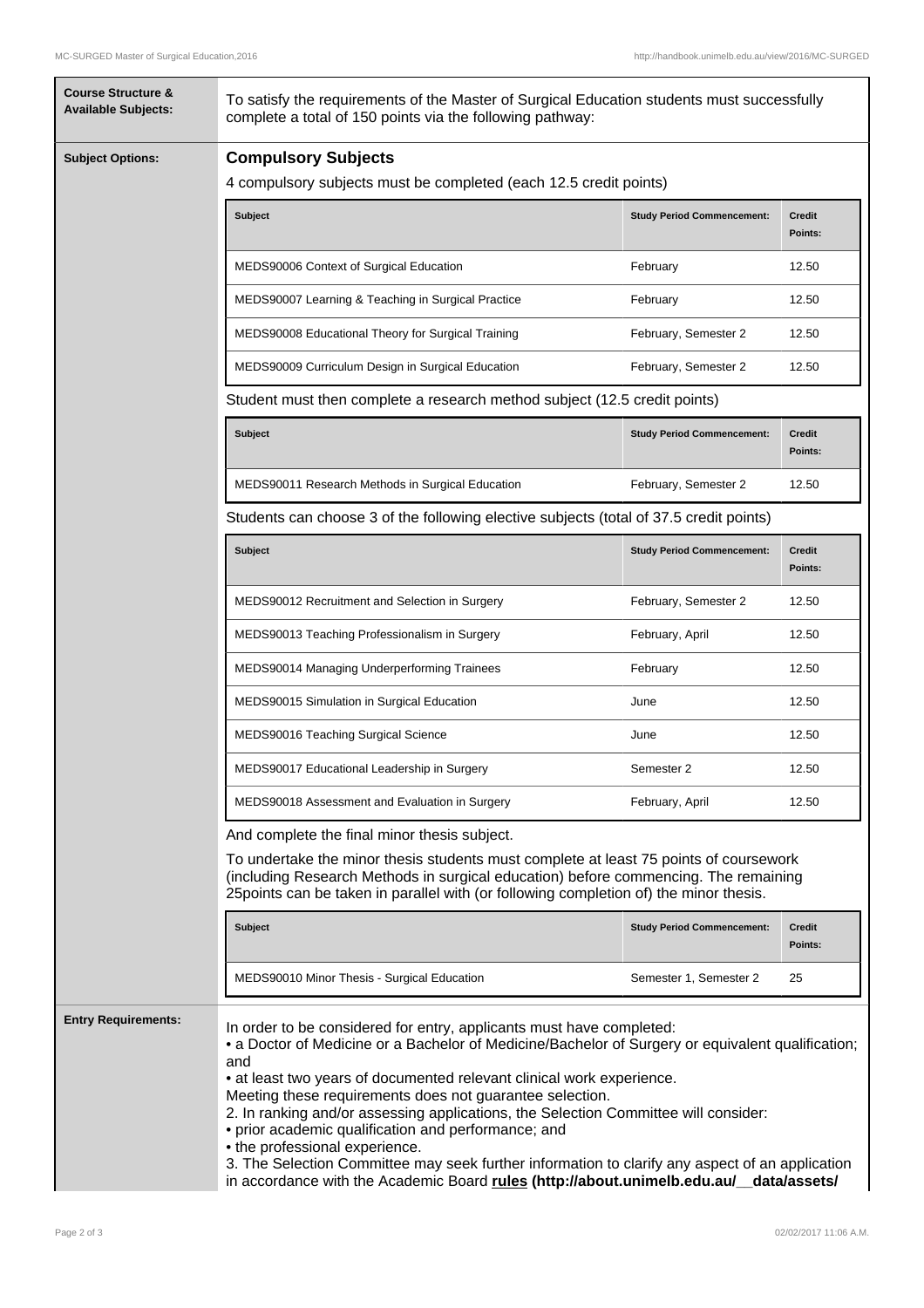| <b>Course Structure &amp;</b><br><b>Available Subjects:</b> | To satisfy the requirements of the Master of Surgical Education students must successfully<br>complete a total of 150 points via the following pathway:                                                                                                                                                                                                                                                                                                                                                                                                                                                  |                                                                                        |                          |  |  |  |
|-------------------------------------------------------------|----------------------------------------------------------------------------------------------------------------------------------------------------------------------------------------------------------------------------------------------------------------------------------------------------------------------------------------------------------------------------------------------------------------------------------------------------------------------------------------------------------------------------------------------------------------------------------------------------------|----------------------------------------------------------------------------------------|--------------------------|--|--|--|
| <b>Subject Options:</b>                                     | <b>Compulsory Subjects</b>                                                                                                                                                                                                                                                                                                                                                                                                                                                                                                                                                                               |                                                                                        |                          |  |  |  |
|                                                             | 4 compulsory subjects must be completed (each 12.5 credit points)                                                                                                                                                                                                                                                                                                                                                                                                                                                                                                                                        |                                                                                        |                          |  |  |  |
|                                                             | Subject                                                                                                                                                                                                                                                                                                                                                                                                                                                                                                                                                                                                  | <b>Study Period Commencement:</b>                                                      | <b>Credit</b><br>Points: |  |  |  |
|                                                             | MEDS90006 Context of Surgical Education                                                                                                                                                                                                                                                                                                                                                                                                                                                                                                                                                                  | February                                                                               | 12.50                    |  |  |  |
|                                                             | MEDS90007 Learning & Teaching in Surgical Practice                                                                                                                                                                                                                                                                                                                                                                                                                                                                                                                                                       | February                                                                               | 12.50                    |  |  |  |
|                                                             | MEDS90008 Educational Theory for Surgical Training                                                                                                                                                                                                                                                                                                                                                                                                                                                                                                                                                       | February, Semester 2                                                                   | 12.50                    |  |  |  |
|                                                             | MEDS90009 Curriculum Design in Surgical Education                                                                                                                                                                                                                                                                                                                                                                                                                                                                                                                                                        | February, Semester 2                                                                   | 12.50                    |  |  |  |
|                                                             | Student must then complete a research method subject (12.5 credit points)                                                                                                                                                                                                                                                                                                                                                                                                                                                                                                                                |                                                                                        |                          |  |  |  |
|                                                             | <b>Subject</b>                                                                                                                                                                                                                                                                                                                                                                                                                                                                                                                                                                                           | <b>Study Period Commencement:</b>                                                      | Credit<br>Points:        |  |  |  |
|                                                             | MEDS90011 Research Methods in Surgical Education                                                                                                                                                                                                                                                                                                                                                                                                                                                                                                                                                         | February, Semester 2                                                                   | 12.50                    |  |  |  |
|                                                             |                                                                                                                                                                                                                                                                                                                                                                                                                                                                                                                                                                                                          | Students can choose 3 of the following elective subjects (total of 37.5 credit points) |                          |  |  |  |
|                                                             | <b>Subject</b>                                                                                                                                                                                                                                                                                                                                                                                                                                                                                                                                                                                           | <b>Study Period Commencement:</b>                                                      | <b>Credit</b><br>Points: |  |  |  |
|                                                             | MEDS90012 Recruitment and Selection in Surgery                                                                                                                                                                                                                                                                                                                                                                                                                                                                                                                                                           | February, Semester 2                                                                   | 12.50                    |  |  |  |
|                                                             | MEDS90013 Teaching Professionalism in Surgery                                                                                                                                                                                                                                                                                                                                                                                                                                                                                                                                                            | February, April                                                                        | 12.50                    |  |  |  |
|                                                             | MEDS90014 Managing Underperforming Trainees                                                                                                                                                                                                                                                                                                                                                                                                                                                                                                                                                              | February                                                                               | 12.50                    |  |  |  |
|                                                             | MEDS90015 Simulation in Surgical Education                                                                                                                                                                                                                                                                                                                                                                                                                                                                                                                                                               | June                                                                                   | 12.50                    |  |  |  |
|                                                             | MEDS90016 Teaching Surgical Science                                                                                                                                                                                                                                                                                                                                                                                                                                                                                                                                                                      | June                                                                                   | 12.50                    |  |  |  |
|                                                             | MEDS90017 Educational Leadership in Surgery                                                                                                                                                                                                                                                                                                                                                                                                                                                                                                                                                              | Semester 2                                                                             | 12.50                    |  |  |  |
|                                                             | MEDS90018 Assessment and Evaluation in Surgery                                                                                                                                                                                                                                                                                                                                                                                                                                                                                                                                                           | February, April                                                                        | 12.50                    |  |  |  |
|                                                             | And complete the final minor thesis subject.                                                                                                                                                                                                                                                                                                                                                                                                                                                                                                                                                             |                                                                                        |                          |  |  |  |
|                                                             | To undertake the minor thesis students must complete at least 75 points of coursework<br>(including Research Methods in surgical education) before commencing. The remaining<br>25 points can be taken in parallel with (or following completion of) the minor thesis.                                                                                                                                                                                                                                                                                                                                   |                                                                                        |                          |  |  |  |
|                                                             | <b>Subject</b>                                                                                                                                                                                                                                                                                                                                                                                                                                                                                                                                                                                           | <b>Study Period Commencement:</b>                                                      | <b>Credit</b><br>Points: |  |  |  |
|                                                             | MEDS90010 Minor Thesis - Surgical Education                                                                                                                                                                                                                                                                                                                                                                                                                                                                                                                                                              | Semester 1, Semester 2                                                                 | 25                       |  |  |  |
| <b>Entry Requirements:</b>                                  | In order to be considered for entry, applicants must have completed:<br>• a Doctor of Medicine or a Bachelor of Medicine/Bachelor of Surgery or equivalent qualification;<br>and<br>• at least two years of documented relevant clinical work experience.<br>Meeting these requirements does not guarantee selection.<br>2. In ranking and/or assessing applications, the Selection Committee will consider:<br>• prior academic qualification and performance; and<br>• the professional experience.<br>3. The Selection Committee may seek further information to clarify any aspect of an application |                                                                                        |                          |  |  |  |